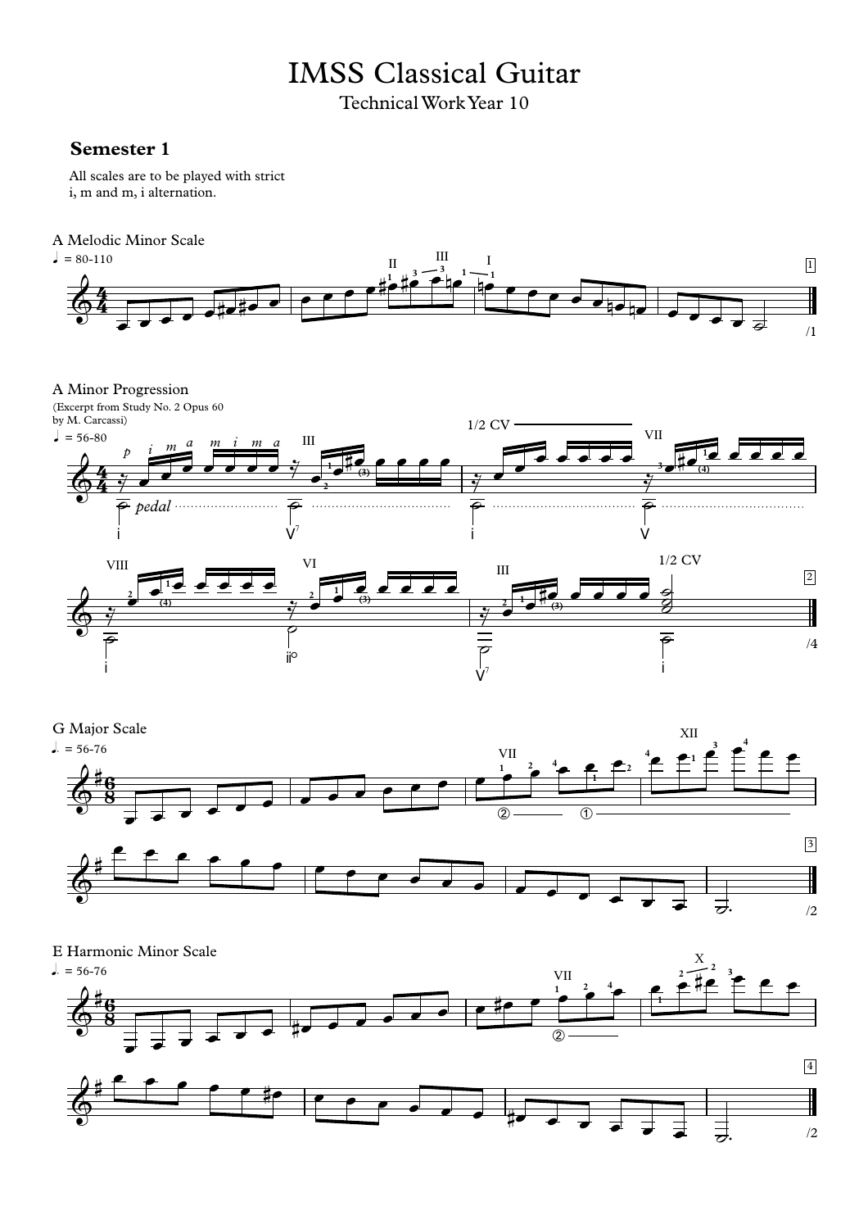# IMSS Classical Guitar

Technical Work Year 10

# **Semester 1**

All scales are to be played with strict i, m and m, i alternation.

## A Melodic Minor Scale



A Minor Progression